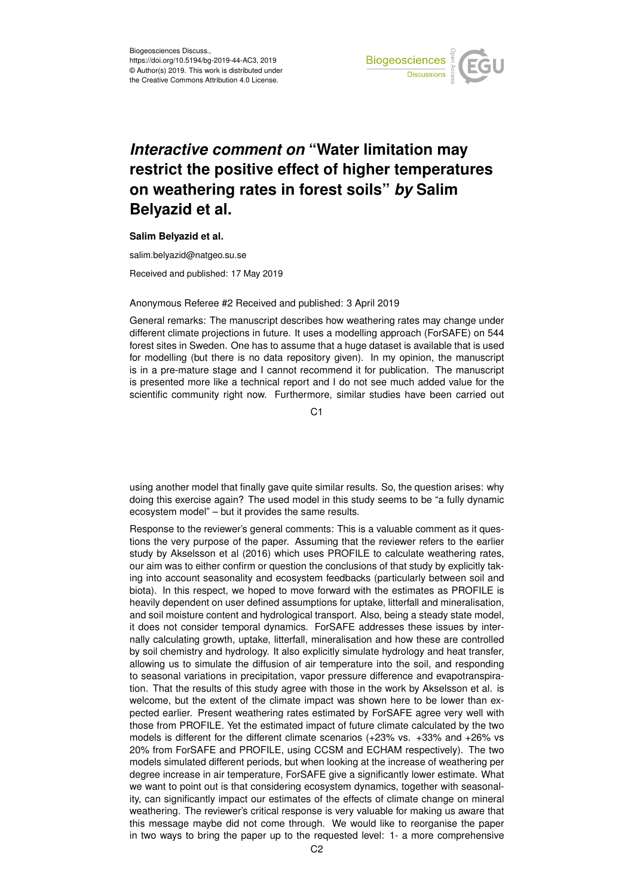

## *Interactive comment on* **"Water limitation may restrict the positive effect of higher temperatures on weathering rates in forest soils"** *by* **Salim Belyazid et al.**

## **Salim Belyazid et al.**

salim.belyazid@natgeo.su.se

Received and published: 17 May 2019

## Anonymous Referee #2 Received and published: 3 April 2019

General remarks: The manuscript describes how weathering rates may change under different climate projections in future. It uses a modelling approach (ForSAFE) on 544 forest sites in Sweden. One has to assume that a huge dataset is available that is used for modelling (but there is no data repository given). In my opinion, the manuscript is in a pre-mature stage and I cannot recommend it for publication. The manuscript is presented more like a technical report and I do not see much added value for the scientific community right now. Furthermore, similar studies have been carried out

C<sub>1</sub>

using another model that finally gave quite similar results. So, the question arises: why doing this exercise again? The used model in this study seems to be "a fully dynamic ecosystem model" – but it provides the same results.

Response to the reviewer's general comments: This is a valuable comment as it questions the very purpose of the paper. Assuming that the reviewer refers to the earlier study by Akselsson et al (2016) which uses PROFILE to calculate weathering rates, our aim was to either confirm or question the conclusions of that study by explicitly taking into account seasonality and ecosystem feedbacks (particularly between soil and biota). In this respect, we hoped to move forward with the estimates as PROFILE is heavily dependent on user defined assumptions for uptake, litterfall and mineralisation, and soil moisture content and hydrological transport. Also, being a steady state model, it does not consider temporal dynamics. ForSAFE addresses these issues by internally calculating growth, uptake, litterfall, mineralisation and how these are controlled by soil chemistry and hydrology. It also explicitly simulate hydrology and heat transfer, allowing us to simulate the diffusion of air temperature into the soil, and responding to seasonal variations in precipitation, vapor pressure difference and evapotranspiration. That the results of this study agree with those in the work by Akselsson et al. is welcome, but the extent of the climate impact was shown here to be lower than expected earlier. Present weathering rates estimated by ForSAFE agree very well with those from PROFILE. Yet the estimated impact of future climate calculated by the two models is different for the different climate scenarios (+23% vs. +33% and +26% vs 20% from ForSAFE and PROFILE, using CCSM and ECHAM respectively). The two models simulated different periods, but when looking at the increase of weathering per degree increase in air temperature, ForSAFE give a significantly lower estimate. What we want to point out is that considering ecosystem dynamics, together with seasonality, can significantly impact our estimates of the effects of climate change on mineral weathering. The reviewer's critical response is very valuable for making us aware that this message maybe did not come through. We would like to reorganise the paper in two ways to bring the paper up to the requested level: 1- a more comprehensive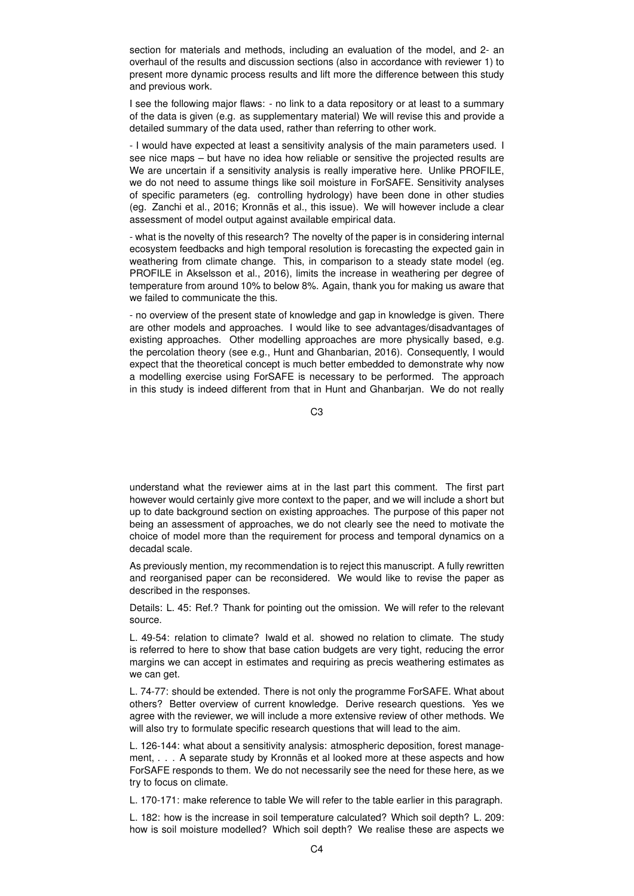section for materials and methods, including an evaluation of the model, and 2- an overhaul of the results and discussion sections (also in accordance with reviewer 1) to present more dynamic process results and lift more the difference between this study and previous work.

I see the following major flaws: - no link to a data repository or at least to a summary of the data is given (e.g. as supplementary material) We will revise this and provide a detailed summary of the data used, rather than referring to other work.

- I would have expected at least a sensitivity analysis of the main parameters used. I see nice maps – but have no idea how reliable or sensitive the projected results are We are uncertain if a sensitivity analysis is really imperative here. Unlike PROFILE, we do not need to assume things like soil moisture in ForSAFE. Sensitivity analyses of specific parameters (eg. controlling hydrology) have been done in other studies (eg. Zanchi et al., 2016; Kronnäs et al., this issue). We will however include a clear assessment of model output against available empirical data.

- what is the novelty of this research? The novelty of the paper is in considering internal ecosystem feedbacks and high temporal resolution is forecasting the expected gain in weathering from climate change. This, in comparison to a steady state model (eg. PROFILE in Akselsson et al., 2016), limits the increase in weathering per degree of temperature from around 10% to below 8%. Again, thank you for making us aware that we failed to communicate the this.

- no overview of the present state of knowledge and gap in knowledge is given. There are other models and approaches. I would like to see advantages/disadvantages of existing approaches. Other modelling approaches are more physically based, e.g. the percolation theory (see e.g., Hunt and Ghanbarian, 2016). Consequently, I would expect that the theoretical concept is much better embedded to demonstrate why now a modelling exercise using ForSAFE is necessary to be performed. The approach in this study is indeed different from that in Hunt and Ghanbarjan. We do not really

C3

understand what the reviewer aims at in the last part this comment. The first part however would certainly give more context to the paper, and we will include a short but up to date background section on existing approaches. The purpose of this paper not being an assessment of approaches, we do not clearly see the need to motivate the choice of model more than the requirement for process and temporal dynamics on a decadal scale.

As previously mention, my recommendation is to reject this manuscript. A fully rewritten and reorganised paper can be reconsidered. We would like to revise the paper as described in the responses.

Details: L. 45: Ref.? Thank for pointing out the omission. We will refer to the relevant source.

L. 49-54: relation to climate? Iwald et al. showed no relation to climate. The study is referred to here to show that base cation budgets are very tight, reducing the error margins we can accept in estimates and requiring as precis weathering estimates as we can get.

L. 74-77: should be extended. There is not only the programme ForSAFE. What about others? Better overview of current knowledge. Derive research questions. Yes we agree with the reviewer, we will include a more extensive review of other methods. We will also try to formulate specific research questions that will lead to the aim.

L. 126-144: what about a sensitivity analysis: atmospheric deposition, forest management, . . . A separate study by Kronnäs et al looked more at these aspects and how ForSAFE responds to them. We do not necessarily see the need for these here, as we try to focus on climate.

L. 170-171: make reference to table We will refer to the table earlier in this paragraph.

L. 182: how is the increase in soil temperature calculated? Which soil depth? L. 209: how is soil moisture modelled? Which soil depth? We realise these are aspects we